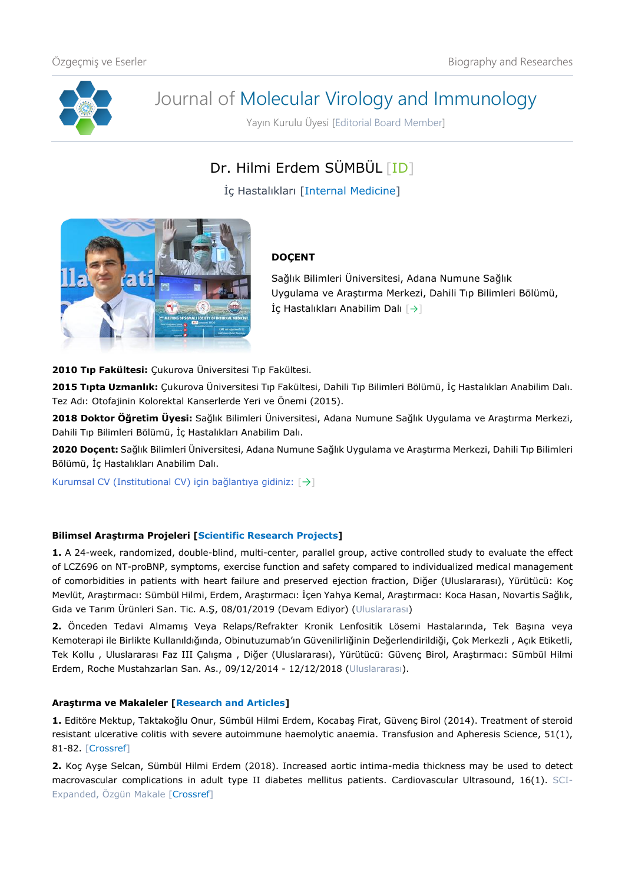

# Journal of Molecular Virology and Immunology

Yayın Kurulu Üyesi [Editorial Board Member]

Dr. Hilmi Erdem SÜMBÜL [\[ID\]](https://orcid.org/0000-0002-7192-0280)

İç Hastalıkları [Internal Medicine]



## **DOÇENT**

Sağlık Bilimleri Üniversitesi, Adana Numune Sağlık Uygulama ve Araştırma Merkezi, Dahili Tıp Bilimleri Bölümü, İç Hastalıkları Anabilim Dalı  $\lceil \rightarrow \rceil$ 

**2010 Tıp Fakültesi:** Çukurova Üniversitesi Tıp Fakültesi.

**2015 Tıpta Uzmanlık:** Çukurova Üniversitesi Tıp Fakültesi, Dahili Tıp Bilimleri Bölümü, İç Hastalıkları Anabilim Dalı. Tez Adı: Otofajinin Kolorektal Kanserlerde Yeri ve Önemi (2015).

**2018 Doktor Öğretim Üyesi:** Sağlık Bilimleri Üniversitesi, Adana Numune Sağlık Uygulama ve Araştırma Merkezi, Dahili Tıp Bilimleri Bölümü, İç Hastalıkları Anabilim Dalı.

**2020 Doçent:** Sağlık Bilimleri Üniversitesi, Adana Numune Sağlık Uygulama ve Araştırma Merkezi, Dahili Tıp Bilimleri Bölümü, İç Hastalıkları Anabilim Dalı.

Kurumsal CV (Institutional CV) için bağlantıya gidiniz: [[→](https://dosyahastane.saglik.gov.tr/Eklenti/136270,hilmierdemsumbulpdf.pdf?0)]

### **Bilimsel Araştırma Projeleri [Scientific Research Projects]**

**1.** A 24-week, randomized, double-blind, multi-center, parallel group, active controlled study to evaluate the effect of LCZ696 on NT-proBNP, symptoms, exercise function and safety compared to individualized medical management of comorbidities in patients with heart failure and preserved ejection fraction, Diğer (Uluslararası), Yürütücü: Koç Mevlüt, Araştırmacı: Sümbül Hilmi, Erdem, Araştırmacı: İçen Yahya Kemal, Araştırmacı: Koca Hasan, Novartis Sağlık, Gıda ve Tarım Ürünleri San. Tic. A.Ş, 08/01/2019 (Devam Ediyor) (Uluslararası)

**2.** Önceden Tedavi Almamış Veya Relaps/Refrakter Kronik Lenfositik Lösemi Hastalarında, Tek Başına veya Kemoterapi ile Birlikte Kullanıldığında, Obinutuzumab'ın Güvenilirliğinin Değerlendirildiği, Çok Merkezli , Açık Etiketli, Tek Kollu , Uluslararası Faz III Çalışma , Diğer (Uluslararası), Yürütücü: Güvenç Birol, Araştırmacı: Sümbül Hilmi Erdem, Roche Mustahzarları San. As., 09/12/2014 - 12/12/2018 (Uluslararası).

#### **Araştırma ve Makaleler [Research and Articles]**

**1.** Editöre Mektup, Taktakoğlu Onur, Sümbül Hilmi Erdem, Kocabaş Firat, Güvenç Birol (2014). Treatment of steroid resistant ulcerative colitis with severe autoimmune haemolytic anaemia. Transfusion and Apheresis Science, 51(1), 81-82. [\[Crossref\]](https://doi.org/10.1016/j.transci.2014.07.002)

**2.** Koç Ayşe Selcan, Sümbül Hilmi Erdem (2018). Increased aortic intima-media thickness may be used to detect macrovascular complications in adult type II diabetes mellitus patients. Cardiovascular Ultrasound, 16(1). SCI-Expanded, Özgün Makale [\[Crossref\]](https://doi.org/10.1186/s12947-018-0127-x)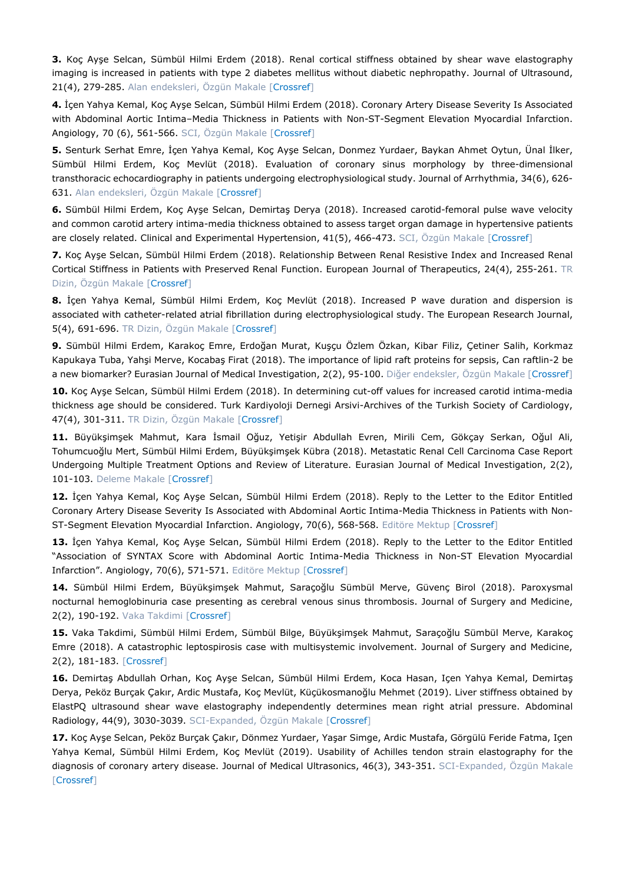**3.** Koç Ayşe Selcan, Sümbül Hilmi Erdem (2018). Renal cortical stiffness obtained by shear wave elastography imaging is increased in patients with type 2 diabetes mellitus without diabetic nephropathy. Journal of Ultrasound, 21(4), 279-285. Alan endeksleri, Özgün Makale [\[Crossref\]](https://doi.org/10.1007/s40477-018-0315-4)

**4.** İçen Yahya Kemal, Koç Ayşe Selcan, Sümbül Hilmi Erdem (2018). Coronary Artery Disease Severity Is Associated with Abdominal Aortic Intima–Media Thickness in Patients with Non-ST-Segment Elevation Myocardial Infarction. Angiology, 70 (6), 561-566. SCI, Özgün Makale [\[Crossref\]](https://doi.org/10.1177/0003319718794833)

**5.** Senturk Serhat Emre, İçen Yahya Kemal, Koç Ayşe Selcan, Donmez Yurdaer, Baykan Ahmet Oytun, Ünal İlker, Sümbül Hilmi Erdem, Koç Mevlüt (2018). Evaluation of coronary sinus morphology by three-dimensional transthoracic echocardiography in patients undergoing electrophysiological study. Journal of Arrhythmia, 34(6), 626- 631. Alan endeksleri, Özgün Makale [\[Crossref\]](https://doi.org/10.1002/joa3.12122)

**6.** Sümbül Hilmi Erdem, Koç Ayşe Selcan, Demirtaş Derya (2018). Increased carotid-femoral pulse wave velocity and common carotid artery intima-media thickness obtained to assess target organ damage in hypertensive patients are closely related. Clinical and Experimental Hypertension, 41(5), 466-473. SCI, Özgün Makale [\[Crossref\]](https://doi.org/10.1080/10641963.2018.1506471)

**7.** Koç Ayşe Selcan, Sümbül Hilmi Erdem (2018). Relationship Between Renal Resistive Index and Increased Renal Cortical Stiffness in Patients with Preserved Renal Function. European Journal of Therapeutics, 24(4), 255-261. TR Dizin, Özgün Makale [\[Crossref\]](https://doi.org/10.5152/EurJTher.2018.817)

**8.** İçen Yahya Kemal, Sümbül Hilmi Erdem, Koç Mevlüt (2018). Increased P wave duration and dispersion is associated with catheter-related atrial fibrillation during electrophysiological study. The European Research Journal, 5(4), 691-696. TR Dizin, Özgün Makale [\[Crossref\]](https://doi.org/10.18621/eurj.412058)

**9.** Sümbül Hilmi Erdem, Karakoç Emre, Erdoğan Murat, Kuşçu Özlem Özkan, Kibar Filiz, Çetiner Salih, Korkmaz Kapukaya Tuba, Yahşi Merve, Kocabaş Firat (2018). The importance of lipid raft proteins for sepsis, Can raftlin-2 be a new biomarker? Eurasian Journal of Medical Investigation, 2(2), 95-100. Diğer endeksler, Özgün Makale [\[Crossref\]](https://doi.org/10.14744/ejmi.2018.69875)

**10.** Koç Ayşe Selcan, Sümbül Hilmi Erdem (2018). In determining cut-off values for increased carotid intima-media thickness age should be considered. Turk Kardiyoloji Dernegi Arsivi-Archives of the Turkish Society of Cardiology, 47(4), 301-311. TR Dizin, Özgün Makale [\[Crossref\]](https://doi.org/10.5543/tkda.2018.94770)

**11.** Büyükşimşek Mahmut, Kara İsmail Oğuz, Yetişir Abdullah Evren, Mirili Cem, Gökçay Serkan, Oğul Ali, Tohumcuoğlu Mert, Sümbül Hilmi Erdem, Büyükşimşek Kübra (2018). Metastatic Renal Cell Carcinoma Case Report Undergoing Multiple Treatment Options and Review of Literature. Eurasian Journal of Medical Investigation, 2(2), 101-103. Deleme Makale [\[Crossref\]](https://doi.org/10.14744/ejmi.2018.76376)

**12.** İçen Yahya Kemal, Koç Ayşe Selcan, Sümbül Hilmi Erdem (2018). Reply to the Letter to the Editor Entitled Coronary Artery Disease Severity Is Associated with Abdominal Aortic Intima-Media Thickness in Patients with Non-ST-Segment Elevation Myocardial Infarction. Angiology, 70(6), 568-568. Editöre Mektup [\[Crossref\]](https://doi.org/10.1177/0003319718808391)

**13.** İçen Yahya Kemal, Koç Ayşe Selcan, Sümbül Hilmi Erdem (2018). Reply to the Letter to the Editor Entitled "Association of SYNTAX Score with Abdominal Aortic Intima-Media Thickness in Non-ST Elevation Myocardial Infarction". Angiology, 70(6), 571-571. Editöre Mektup [\[Crossref\]](https://doi.org/10.1177/0003319718811653)

**14.** Sümbül Hilmi Erdem, Büyükşimşek Mahmut, Saraçoğlu Sümbül Merve, Güvenç Birol (2018). Paroxysmal nocturnal hemoglobinuria case presenting as cerebral venous sinus thrombosis. Journal of Surgery and Medicine, 2(2), 190-192. Vaka Takdimi [\[Crossref\]](https://doi.org/10.28982/josam.411600)

**15.** Vaka Takdimi, Sümbül Hilmi Erdem, Sümbül Bilge, Büyükşimşek Mahmut, Saraçoğlu Sümbül Merve, Karakoç Emre (2018). A catastrophic leptospirosis case with multisystemic involvement. Journal of Surgery and Medicine, 2(2), 181-183. [\[Crossref\]](https://doi.org/10.28982/josam.397719)

**16.** Demirtaş Abdullah Orhan, Koç Ayşe Selcan, Sümbül Hilmi Erdem, Koca Hasan, Içen Yahya Kemal, Demirtaş Derya, Peköz Burçak Çakır, Ardic Mustafa, Koç Mevlüt, Küçükosmanoğlu Mehmet (2019). Liver stiffness obtained by ElastPQ ultrasound shear wave elastography independently determines mean right atrial pressure. Abdominal Radiology, 44(9), 3030-3039. SCI-Expanded, Özgün Makale [\[Crossref\]](https://doi.org/10.1007/s00261-019-02083-3)

**17.** Koç Ayşe Selcan, Peköz Burçak Çakır, Dönmez Yurdaer, Yaşar Simge, Ardic Mustafa, Görgülü Feride Fatma, Içen Yahya Kemal, Sümbül Hilmi Erdem, Koç Mevlüt (2019). Usability of Achilles tendon strain elastography for the diagnosis of coronary artery disease. Journal of Medical Ultrasonics, 46(3), 343-351. SCI-Expanded, Özgün Makale [\[Crossref\]](https://doi.org/10.1007/s10396-019-00931-9)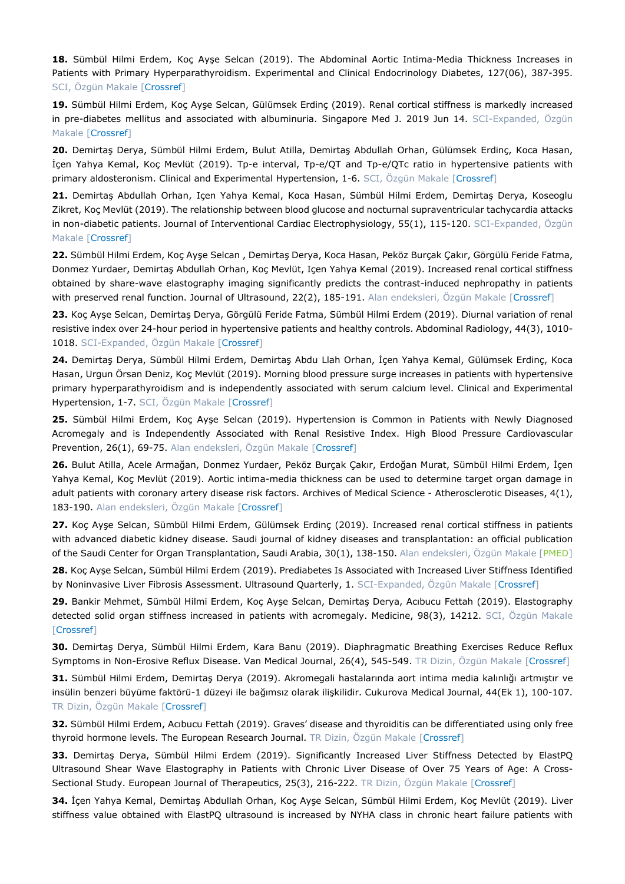**18.** Sümbül Hilmi Erdem, Koç Ayşe Selcan (2019). The Abdominal Aortic Intima-Media Thickness Increases in Patients with Primary Hyperparathyroidism. Experimental and Clinical Endocrinology Diabetes, 127(06), 387-395. SCI, Özgün Makale [\[Crossref\]](https://doi.org/10.1055/a-0664-7820)

**19.** Sümbül Hilmi Erdem, Koç Ayşe Selcan, Gülümsek Erdinç (2019). Renal cortical stiffness is markedly increased in pre-diabetes mellitus and associated with albuminuria. Singapore Med J. 2019 Jun 14. SCI-Expanded, Özgün Makale [\[Crossref\]](https://doi.org/10.11622/smedj.2019052)

**20.** Demirtaş Derya, Sümbül Hilmi Erdem, Bulut Atilla, Demirtaş Abdullah Orhan, Gülümsek Erdinç, Koca Hasan, İçen Yahya Kemal, Koç Mevlüt (2019). Tp-e interval, Tp-e/QT and Tp-e/QTc ratio in hypertensive patients with primary aldosteronism. Clinical and Experimental Hypertension, 1-6. SCI, Özgün Makale [\[Crossref\]](https://doi.org/10.1080/10641963.2019.1632341)

**21.** Demirtaş Abdullah Orhan, Içen Yahya Kemal, Koca Hasan, Sümbül Hilmi Erdem, Demirtaş Derya, Koseoglu Zikret, Koç Mevlüt (2019). The relationship between blood glucose and nocturnal supraventricular tachycardia attacks in non-diabetic patients. Journal of Interventional Cardiac Electrophysiology, 55(1), 115-120. SCI-Expanded, Özgün Makale [\[Crossref\]](https://doi.org/10.1007/s10840-019-00549-4)

**22.** Sümbül Hilmi Erdem, Koç Ayşe Selcan , Demirtaş Derya, Koca Hasan, Peköz Burçak Çakır, Görgülü Feride Fatma, Donmez Yurdaer, Demirtaş Abdullah Orhan, Koç Mevlüt, Içen Yahya Kemal (2019). Increased renal cortical stiffness obtained by share-wave elastography imaging significantly predicts the contrast-induced nephropathy in patients with preserved renal function. Journal of Ultrasound, 22(2), 185-191. Alan endeksleri, Özgün Makale [\[Crossref\]](https://doi.org/10.1007/s40477-019-00373-6)

**23.** Koç Ayşe Selcan, Demirtaş Derya, Görgülü Feride Fatma, Sümbül Hilmi Erdem (2019). Diurnal variation of renal resistive index over 24-hour period in hypertensive patients and healthy controls. Abdominal Radiology, 44(3), 1010- 1018. SCI-Expanded, Özgün Makale [\[Crossref\]](https://doi.org/10.1007/s00261-018-1798-3)

**24.** Demirtaş Derya, Sümbül Hilmi Erdem, Demirtaş Abdu Llah Orhan, İçen Yahya Kemal, Gülümsek Erdinç, Koca Hasan, Urgun Örsan Deniz, Koç Mevlüt (2019). Morning blood pressure surge increases in patients with hypertensive primary hyperparathyroidism and is independently associated with serum calcium level. Clinical and Experimental Hypertension, 1-7. SCI, Özgün Makale [\[Crossref\]](https://doi.org/10.1080/10641963.2019.1590388)

**25.** Sümbül Hilmi Erdem, Koç Ayşe Selcan (2019). Hypertension is Common in Patients with Newly Diagnosed Acromegaly and is Independently Associated with Renal Resistive Index. High Blood Pressure Cardiovascular Prevention, 26(1), 69-75. Alan endeksleri, Özgün Makale [\[Crossref\]](https://doi.org/10.1007/s40292-018-0293-9)

**26.** Bulut Atilla, Acele Armağan, Donmez Yurdaer, Peköz Burçak Çakır, Erdoğan Murat, Sümbül Hilmi Erdem, İçen Yahya Kemal, Koç Mevlüt (2019). Aortic intima-media thickness can be used to determine target organ damage in adult patients with coronary artery disease risk factors. Archives of Medical Science - Atherosclerotic Diseases, 4(1), 183-190. Alan endeksleri, Özgün Makale [\[Crossref\]](https://doi.org/10.5114/amsad.2019.87002)

**27.** Koç Ayşe Selcan, Sümbül Hilmi Erdem, Gülümsek Erdinç (2019). Increased renal cortical stiffness in patients with advanced diabetic kidney disease. Saudi journal of kidney diseases and transplantation: an official publication of the Saudi Center for Organ Transplantation, Saudi Arabia, 30(1), 138-150. Alan endeksleri, Özgün Makale [\[PMED\]](https://pubmed.ncbi.nlm.nih.gov/30804275/)

**28.** Koç Ayşe Selcan, Sümbül Hilmi Erdem (2019). Prediabetes Is Associated with Increased Liver Stiffness Identified by Noninvasive Liver Fibrosis Assessment. Ultrasound Quarterly, 1. SCI-Expanded, Özgün Makale [\[Crossref\]](https://doi.org/10.1097/RUQ.0000000000000419)

**29.** Bankir Mehmet, Sümbül Hilmi Erdem, Koç Ayşe Selcan, Demirtaş Derya, Acıbucu Fettah (2019). Elastography detected solid organ stiffness increased in patients with acromegaly. Medicine, 98(3), 14212. SCI, Özgün Makale [\[Crossref\]](https://doi.org/10.1097/MD.0000000000014212)

**30.** Demirtaş Derya, Sümbül Hilmi Erdem, Kara Banu (2019). Diaphragmatic Breathing Exercises Reduce Reflux Symptoms in Non-Erosive Reflux Disease. Van Medical Journal, 26(4), 545-549. TR Dizin, Özgün Makale [\[Crossref\]](https://doi.org/10.5505/vtd.2019.36043)

**31.** Sümbül Hilmi Erdem, Demirtaş Derya (2019). Akromegali hastalarında aort intima media kalınlığı artmıştır ve insülin benzeri büyüme faktörü-1 düzeyi ile bağımsız olarak ilişkilidir. Cukurova Medical Journal, 44(Ek 1), 100-107. TR Dizin, Özgün Makale [\[Crossref\]](https://doi.org/10.17826/cumj.553729)

**32.** Sümbül Hilmi Erdem, Acıbucu Fettah (2019). Graves' disease and thyroiditis can be differentiated using only free thyroid hormone levels. The European Research Journal. TR Dizin, Özgün Makale [\[Crossref\]](https://doi.org/10.18621/eurj.499174)

**33.** Demirtaş Derya, Sümbül Hilmi Erdem (2019). Significantly Increased Liver Stiffness Detected by ElastPQ Ultrasound Shear Wave Elastography in Patients with Chronic Liver Disease of Over 75 Years of Age: A Cross-Sectional Study. European Journal of Therapeutics, 25(3), 216-222. TR Dizin, Özgün Makale [\[Crossref\]](https://doi.org/10.5152/EurJTher.2019.19033)

**34.** İçen Yahya Kemal, Demirtaş Abdullah Orhan, Koç Ayşe Selcan, Sümbül Hilmi Erdem, Koç Mevlüt (2019). Liver stiffness value obtained with ElastPQ ultrasound is increased by NYHA class in chronic heart failure patients with